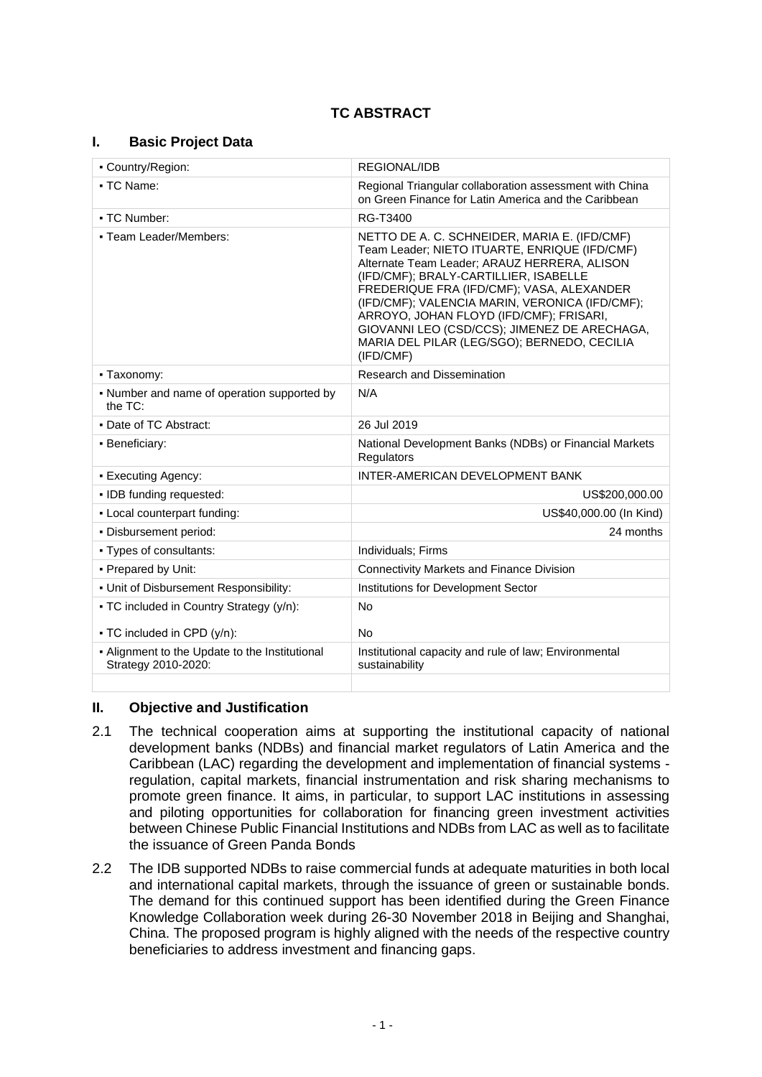# **I. Basic Project Data**

| - Country/Region:                                                       | REGIONAL/IDB                                                                                                                                                                                                                                                                                                                                                                                                                                 |  |  |
|-------------------------------------------------------------------------|----------------------------------------------------------------------------------------------------------------------------------------------------------------------------------------------------------------------------------------------------------------------------------------------------------------------------------------------------------------------------------------------------------------------------------------------|--|--|
| - TC Name:                                                              | Regional Triangular collaboration assessment with China<br>on Green Finance for Latin America and the Caribbean                                                                                                                                                                                                                                                                                                                              |  |  |
| • TC Number:                                                            | RG-T3400                                                                                                                                                                                                                                                                                                                                                                                                                                     |  |  |
| - Team Leader/Members:                                                  | NETTO DE A. C. SCHNEIDER, MARIA E. (IFD/CMF)<br>Team Leader; NIETO ITUARTE, ENRIQUE (IFD/CMF)<br>Alternate Team Leader; ARAUZ HERRERA, ALISON<br>(IFD/CMF); BRALY-CARTILLIER, ISABELLE<br>FREDERIQUE FRA (IFD/CMF); VASA, ALEXANDER<br>(IFD/CMF); VALENCIA MARIN, VERONICA (IFD/CMF);<br>ARROYO, JOHAN FLOYD (IFD/CMF); FRISARI,<br>GIOVANNI LEO (CSD/CCS); JIMENEZ DE ARECHAGA,<br>MARIA DEL PILAR (LEG/SGO); BERNEDO, CECILIA<br>(IFD/CMF) |  |  |
| - Taxonomy:                                                             | Research and Dissemination                                                                                                                                                                                                                                                                                                                                                                                                                   |  |  |
| - Number and name of operation supported by<br>the $TC$ :               | N/A                                                                                                                                                                                                                                                                                                                                                                                                                                          |  |  |
| • Date of TC Abstract:                                                  | 26 Jul 2019                                                                                                                                                                                                                                                                                                                                                                                                                                  |  |  |
| · Beneficiary:                                                          | National Development Banks (NDBs) or Financial Markets<br>Regulators                                                                                                                                                                                                                                                                                                                                                                         |  |  |
| • Executing Agency:                                                     | INTER-AMERICAN DEVELOPMENT BANK                                                                                                                                                                                                                                                                                                                                                                                                              |  |  |
| · IDB funding requested:                                                | US\$200,000.00                                                                                                                                                                                                                                                                                                                                                                                                                               |  |  |
| - Local counterpart funding:                                            | US\$40,000.00 (In Kind)                                                                                                                                                                                                                                                                                                                                                                                                                      |  |  |
| - Disbursement period:                                                  | 24 months                                                                                                                                                                                                                                                                                                                                                                                                                                    |  |  |
| - Types of consultants:                                                 | Individuals; Firms                                                                                                                                                                                                                                                                                                                                                                                                                           |  |  |
| - Prepared by Unit:                                                     | Connectivity Markets and Finance Division                                                                                                                                                                                                                                                                                                                                                                                                    |  |  |
| . Unit of Disbursement Responsibility:                                  | Institutions for Development Sector                                                                                                                                                                                                                                                                                                                                                                                                          |  |  |
| • TC included in Country Strategy (y/n):<br>• TC included in CPD (y/n): | <b>No</b><br><b>No</b>                                                                                                                                                                                                                                                                                                                                                                                                                       |  |  |
| - Alignment to the Update to the Institutional<br>Strategy 2010-2020:   | Institutional capacity and rule of law; Environmental<br>sustainability                                                                                                                                                                                                                                                                                                                                                                      |  |  |
|                                                                         |                                                                                                                                                                                                                                                                                                                                                                                                                                              |  |  |

## **II. Objective and Justification**

- 2.1 The technical cooperation aims at supporting the institutional capacity of national development banks (NDBs) and financial market regulators of Latin America and the Caribbean (LAC) regarding the development and implementation of financial systems regulation, capital markets, financial instrumentation and risk sharing mechanisms to promote green finance. It aims, in particular, to support LAC institutions in assessing and piloting opportunities for collaboration for financing green investment activities between Chinese Public Financial Institutions and NDBs from LAC as well as to facilitate the issuance of Green Panda Bonds
- 2.2 The IDB supported NDBs to raise commercial funds at adequate maturities in both local and international capital markets, through the issuance of green or sustainable bonds. The demand for this continued support has been identified during the Green Finance Knowledge Collaboration week during 26-30 November 2018 in Beijing and Shanghai, China. The proposed program is highly aligned with the needs of the respective country beneficiaries to address investment and financing gaps.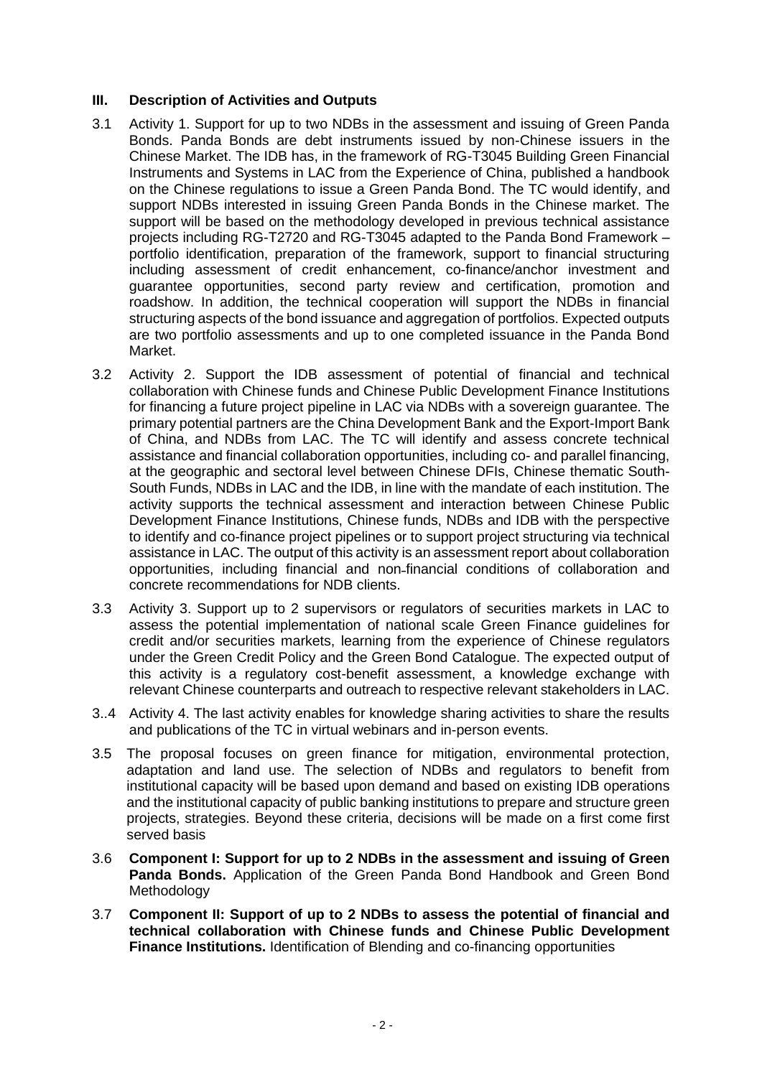### **III. Description of Activities and Outputs**

- 3.1 Activity 1. Support for up to two NDBs in the assessment and issuing of Green Panda Bonds. Panda Bonds are debt instruments issued by non-Chinese issuers in the Chinese Market. The IDB has, in the framework of RG-T3045 Building Green Financial Instruments and Systems in LAC from the Experience of China, published a handbook on the Chinese regulations to issue a Green Panda Bond. The TC would identify, and support NDBs interested in issuing Green Panda Bonds in the Chinese market. The support will be based on the methodology developed in previous technical assistance projects including RG-T2720 and RG-T3045 adapted to the Panda Bond Framework – portfolio identification, preparation of the framework, support to financial structuring including assessment of credit enhancement, co-finance/anchor investment and guarantee opportunities, second party review and certification, promotion and roadshow. In addition, the technical cooperation will support the NDBs in financial structuring aspects of the bond issuance and aggregation of portfolios. Expected outputs are two portfolio assessments and up to one completed issuance in the Panda Bond Market.
- 3.2 Activity 2. Support the IDB assessment of potential of financial and technical collaboration with Chinese funds and Chinese Public Development Finance Institutions for financing a future project pipeline in LAC via NDBs with a sovereign guarantee. The primary potential partners are the China Development Bank and the Export-Import Bank of China, and NDBs from LAC. The TC will identify and assess concrete technical assistance and financial collaboration opportunities, including co- and parallel financing, at the geographic and sectoral level between Chinese DFIs, Chinese thematic South-South Funds, NDBs in LAC and the IDB, in line with the mandate of each institution. The activity supports the technical assessment and interaction between Chinese Public Development Finance Institutions, Chinese funds, NDBs and IDB with the perspective to identify and co-finance project pipelines or to support project structuring via technical assistance in LAC. The output of this activity is an assessment report about collaboration opportunities, including financial and non-financial conditions of collaboration and concrete recommendations for NDB clients.
- 3.3 Activity 3. Support up to 2 supervisors or regulators of securities markets in LAC to assess the potential implementation of national scale Green Finance guidelines for credit and/or securities markets, learning from the experience of Chinese regulators under the Green Credit Policy and the Green Bond Catalogue. The expected output of this activity is a regulatory cost-benefit assessment, a knowledge exchange with relevant Chinese counterparts and outreach to respective relevant stakeholders in LAC.
- 3..4 Activity 4. The last activity enables for knowledge sharing activities to share the results and publications of the TC in virtual webinars and in-person events.
- 3.5 The proposal focuses on green finance for mitigation, environmental protection, adaptation and land use. The selection of NDBs and regulators to benefit from institutional capacity will be based upon demand and based on existing IDB operations and the institutional capacity of public banking institutions to prepare and structure green projects, strategies. Beyond these criteria, decisions will be made on a first come first served basis
- 3.6 **Component I: Support for up to 2 NDBs in the assessment and issuing of Green Panda Bonds.** Application of the Green Panda Bond Handbook and Green Bond **Methodology**
- 3.7 **Component II: Support of up to 2 NDBs to assess the potential of financial and technical collaboration with Chinese funds and Chinese Public Development Finance Institutions.** Identification of Blending and co-financing opportunities